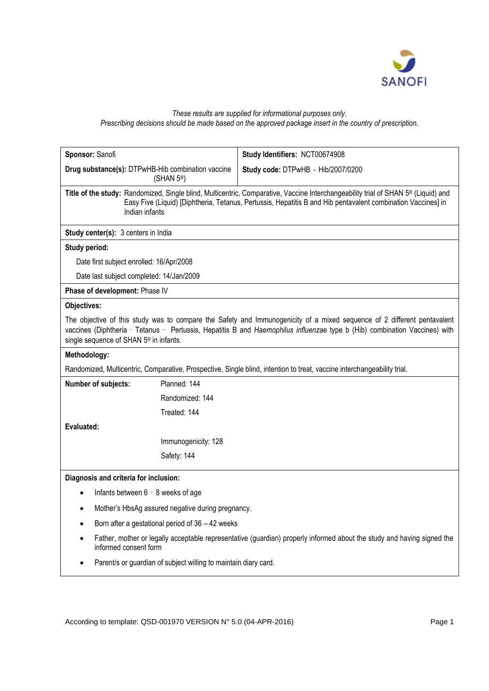

## *These results are supplied for informational purposes only.*

*Prescribing decisions should be made based on the approved package insert in the country of prescription.*

| Sponsor: Sanofi                                                                                                                                                                                                                                                                                             | Study Identifiers: NCT00674908     |
|-------------------------------------------------------------------------------------------------------------------------------------------------------------------------------------------------------------------------------------------------------------------------------------------------------------|------------------------------------|
| Drug substance(s): DTPwHB-Hib combination vaccine<br>(SHAN 5 <sup>®</sup> )                                                                                                                                                                                                                                 | Study code: DTPwHB - Hib/2007/0200 |
| Title of the study: Randomized, Single blind, Multicentric, Comparative, Vaccine Interchangeability trial of SHAN 5 <sup>®</sup> (Liquid) and<br>Easy Five (Liquid) [Diphtheria, Tetanus, Pertussis, Hepatitis B and Hib pentavalent combination Vaccines] in<br>Indian infants                             |                                    |
| Study center(s): 3 centers in India                                                                                                                                                                                                                                                                         |                                    |
| Study period:                                                                                                                                                                                                                                                                                               |                                    |
| Date first subject enrolled: 16/Apr/2008                                                                                                                                                                                                                                                                    |                                    |
| Date last subject completed: 14/Jan/2009                                                                                                                                                                                                                                                                    |                                    |
| Phase of development: Phase IV                                                                                                                                                                                                                                                                              |                                    |
| Objectives:                                                                                                                                                                                                                                                                                                 |                                    |
| The objective of this study was to compare the Safety and Immunogenicity of a mixed sequence of 2 different pentavalent<br>vaccines (Diphtheria - Tetanus - Pertussis, Hepatitis B and Haemophilus influenzae type b (Hib) combination Vaccines) with<br>single sequence of SHAN 5 <sup>®</sup> in infants. |                                    |
| Methodology:                                                                                                                                                                                                                                                                                                |                                    |
| Randomized, Multicentric, Comparative, Prospective, Single blind, intention to treat, vaccine interchangeability trial.                                                                                                                                                                                     |                                    |
| Planned: 144<br>Number of subjects:                                                                                                                                                                                                                                                                         |                                    |
| Randomized: 144                                                                                                                                                                                                                                                                                             |                                    |
| Treated: 144                                                                                                                                                                                                                                                                                                |                                    |
| Evaluated:                                                                                                                                                                                                                                                                                                  |                                    |
| Immunogenicity: 128                                                                                                                                                                                                                                                                                         |                                    |
| Safety: 144                                                                                                                                                                                                                                                                                                 |                                    |
| Diagnosis and criteria for inclusion:                                                                                                                                                                                                                                                                       |                                    |
| Infants between 6 - 8 weeks of age                                                                                                                                                                                                                                                                          |                                    |
| Mother's HbsAg assured negative during pregnancy.                                                                                                                                                                                                                                                           |                                    |
| Born after a gestational period of 36 - 42 weeks                                                                                                                                                                                                                                                            |                                    |
| Father, mother or legally acceptable representative (guardian) properly informed about the study and having signed the<br>informed consent form                                                                                                                                                             |                                    |
| Parent/s or guardian of subject willing to maintain diary card.                                                                                                                                                                                                                                             |                                    |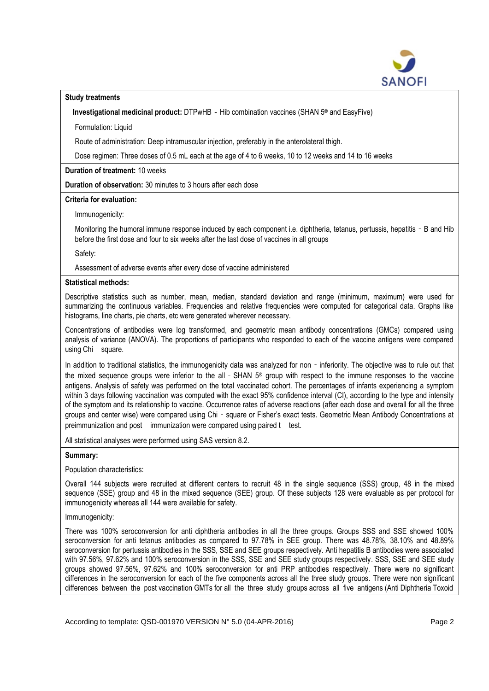

## **Study treatments**

Investigational medicinal product: DTPwHB - Hib combination vaccines (SHAN 5<sup>®</sup> and EasyFive)

Formulation: Liquid

Route of administration: Deep intramuscular injection, preferably in the anterolateral thigh.

Dose regimen: Three doses of 0.5 mL each at the age of 4 to 6 weeks, 10 to 12 weeks and 14 to 16 weeks

**Duration of treatment:** 10 weeks

**Duration of observation:** 30 minutes to 3 hours after each dose

**Criteria for evaluation:**

Immunogenicity:

Monitoring the humoral immune response induced by each component i.e. diphtheria, tetanus, pertussis, hepatitis - B and Hib before the first dose and four to six weeks after the last dose of vaccines in all groups

Safety:

Assessment of adverse events after every dose of vaccine administered

## **Statistical methods:**

Descriptive statistics such as number, mean, median, standard deviation and range (minimum, maximum) were used for summarizing the continuous variables. Frequencies and relative frequencies were computed for categorical data. Graphs like histograms, line charts, pie charts, etc were generated wherever necessary.

Concentrations of antibodies were log transformed, and geometric mean antibody concentrations (GMCs) compared using analysis of variance (ANOVA). The proportions of participants who responded to each of the vaccine antigens were compared using Chi - square.

In addition to traditional statistics, the immunogenicity data was analyzed for non - inferiority. The objective was to rule out that the mixed sequence groups were inferior to the all - SHAN 5<sup>®</sup> group with respect to the immune responses to the vaccine antigens. Analysis of safety was performed on the total vaccinated cohort. The percentages of infants experiencing a symptom within 3 days following vaccination was computed with the exact 95% confidence interval (CI), according to the type and intensity of the symptom and its relationship to vaccine. Occurrence rates of adverse reactions (after each dose and overall for all the three groups and center wise) were compared using Chi - square or Fisher's exact tests. Geometric Mean Antibody Concentrations at preimmunization and post - immunization were compared using paired t - test.

All statistical analyses were performed using SAS version 8.2.

## **Summary:**

Population characteristics:

Overall 144 subjects were recruited at different centers to recruit 48 in the single sequence (SSS) group, 48 in the mixed sequence (SSE) group and 48 in the mixed sequence (SEE) group. Of these subjects 128 were evaluable as per protocol for immunogenicity whereas all 144 were available for safety.

Immunogenicity:

There was 100% seroconversion for anti diphtheria antibodies in all the three groups. Groups SSS and SSE showed 100% seroconversion for anti tetanus antibodies as compared to 97.78% in SEE group. There was 48.78%, 38.10% and 48.89% seroconversion for pertussis antibodies in the SSS, SSE and SEE groups respectively. Anti hepatitis B antibodies were associated with 97.56%, 97.62% and 100% seroconversion in the SSS, SSE and SEE study groups respectively. SSS, SSE and SEE study groups showed 97.56%, 97.62% and 100% seroconversion for anti PRP antibodies respectively. There were no significant differences in the seroconversion for each of the five components across all the three study groups. There were non significant differences between the post vaccination GMTs for all the three study groups across all five antigens (Anti Diphtheria Toxoid

According to template: QSD-001970 VERSION N° 5.0 (04-APR-2016) Page 2